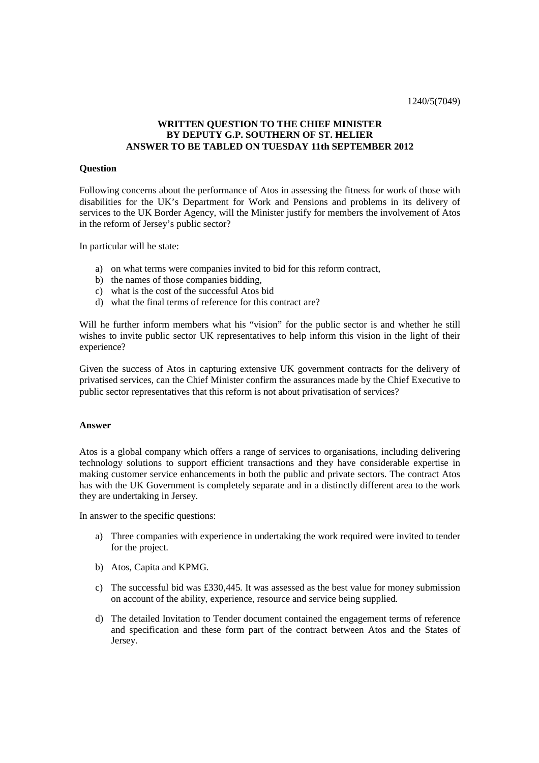## **WRITTEN QUESTION TO THE CHIEF MINISTER BY DEPUTY G.P. SOUTHERN OF ST. HELIER ANSWER TO BE TABLED ON TUESDAY 11th SEPTEMBER 2012**

## **Question**

Following concerns about the performance of Atos in assessing the fitness for work of those with disabilities for the UK's Department for Work and Pensions and problems in its delivery of services to the UK Border Agency, will the Minister justify for members the involvement of Atos in the reform of Jersey's public sector?

In particular will he state:

- a) on what terms were companies invited to bid for this reform contract,
- b) the names of those companies bidding,
- c) what is the cost of the successful Atos bid
- d) what the final terms of reference for this contract are?

Will he further inform members what his "vision" for the public sector is and whether he still wishes to invite public sector UK representatives to help inform this vision in the light of their experience?

Given the success of Atos in capturing extensive UK government contracts for the delivery of privatised services, can the Chief Minister confirm the assurances made by the Chief Executive to public sector representatives that this reform is not about privatisation of services?

## **Answer**

Atos is a global company which offers a range of services to organisations, including delivering technology solutions to support efficient transactions and they have considerable expertise in making customer service enhancements in both the public and private sectors. The contract Atos has with the UK Government is completely separate and in a distinctly different area to the work they are undertaking in Jersey.

In answer to the specific questions:

- a) Three companies with experience in undertaking the work required were invited to tender for the project.
- b) Atos, Capita and KPMG.
- c) The successful bid was £330,445. It was assessed as the best value for money submission on account of the ability, experience, resource and service being supplied.
- d) The detailed Invitation to Tender document contained the engagement terms of reference and specification and these form part of the contract between Atos and the States of Jersey.